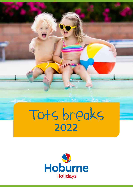

ودعاله

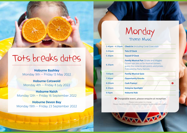# Tots breaks dates

**Hoburne Bashley** Monday 9th – Friday 13 May 2022

**Hoburne Cotswold** Monday 4th – Friday 8 July 2022

**Hoburne Naish** Monday 12th – Friday 16 September 2022

**Hoburne Devon Bay** Monday 19th – Friday 23 September 2022

## Monday Theme: Music

| $2.45pm - 4.30pm$ | <b>Check In</b> (Including Coral Cove visit)                                                                                                                     |
|-------------------|------------------------------------------------------------------------------------------------------------------------------------------------------------------|
| 5.00pm            | <b>Tots O'Clock</b>                                                                                                                                              |
| 5.30pm            | <b>Squad O'Clock</b>                                                                                                                                             |
| 6.30pm            | <b>Family Musical Fun</b> (Shake and Wiggle)<br>Grown ups join us for musical corners,<br>guess the noise to win points and prizes.<br>Followed by Party Dances. |
| 7.00pm            | <b>Family Musical Quiz</b>                                                                                                                                       |
| 7.30pm            | <b>Opportunity Knocks</b>                                                                                                                                        |
| 8.00pm            | <b>Cash Frenzy!</b><br>G.                                                                                                                                        |
| 8.30pm            | <b>Hoburne Spotlight</b>                                                                                                                                         |
|                   |                                                                                                                                                                  |

**O** Chargeable event, please enquire at reception.

Please note subject to change. Please check the What's On board in reception for the latest information.

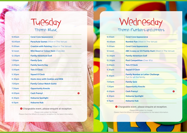## Tuesday Theme: Music

| 9.00am             | <b>Coral Cove Appearance</b>                      |
|--------------------|---------------------------------------------------|
| 10.00am            | <b>Parachute Games</b> (Meet in The Venue)        |
| 11.00am            | <b>Creative with Painting (Meet in The Venue)</b> |
| 12 noon            | <b>Mini Beast or Colour Hunt (Outside)</b>        |
| 12.30pm            | <b>Family Adventure Golf</b>                      |
| 1.00 <sub>pm</sub> | <b>Family Quiz</b>                                |
| 2.00pm             | <b>Family Sports Day</b>                          |
| 5.00pm             | <b>Tots O'Clock</b>                               |
| 5.30pm             | <b>Squad O'Clock</b>                              |
| 6.30pm             | <b>Hosts story with Cookies and Milk</b>          |
| 7.00pm             | <b>Family Colour Match Game</b>                   |
| 7.30 <sub>pm</sub> | <b>Opportunity Knocks</b>                         |
| 8.00pm             | <b>Cash Frenzy!</b><br>A                          |
| 8.30pm             | <b>Hoburne Spotlight</b>                          |
| 9.15pm             | <b>Hoburne Hub</b>                                |

**O** Chargeable event, please enquire at reception.

Please note subject to change. Please check the What's On board in reception for the latest information.

# Wednesday

## Theme: Numbers and Letters

| 9.00am  | <b>Coral Cove Appearance</b>                                        |
|---------|---------------------------------------------------------------------|
| 10.00am | <b>Number Fun</b> (Meet in The Venue)                               |
| 11.00am | <b>Coral Cove Appearance</b>                                        |
| 12 noon | ABC is easy as 123 Family Hunt (Meet in The Venue)                  |
| 12.30pm | <b>Family Adventure Golf</b>                                        |
| 12.30pm | <b>Pool Competition</b> (Over 18's)                                 |
| 5.00pm  | <b>Tots O'Clock</b>                                                 |
| 5.30pm  | <b>Squad O'Clock</b>                                                |
| 6.30pm  | <b>Family Number or Letter Challenge</b><br>Fun for all the family. |
| 7.00pm  | <b>Family Quiz</b>                                                  |
| 7.30pm  | <b>Opportunity Knocks</b>                                           |
| 8.00pm  | <b>Cash Frenzy!</b><br>R                                            |
| 8.30pm  | <b>Hoburne Spotlight</b>                                            |
| 9.15pm  | <b>Hoburne Hub</b>                                                  |

### **O** Chargeable event, please enquire at reception.

Please note subject to change. Please check the What's On board in reception for the latest information.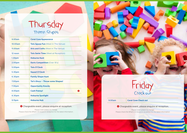## Thursday Theme: Shapes

| 9.00am             | <b>Coral Cove Appearance</b>               |
|--------------------|--------------------------------------------|
| 10.00am            | <b>Tots Jigsaw Fun</b> (Meet in The Venue) |
| 11.00am            | <b>Arts and Crafts (Meet in The Venue)</b> |
| 12 noon            | <b>Tots Swim Time</b> (Meet at Reception)  |
| 1.30 <sub>pm</sub> | <b>Hoburne Hunt</b>                        |
| 2.00pm             | <b>Darts Competition (Over 18's)</b>       |
| 5.00pm             | <b>Tots O'Clock</b>                        |
| 5.30pm             | <b>Squad O'Clock</b>                       |
| 6.30pm             | <b>Family Shape Hunt</b>                   |
| 7.00pm             | Tot's Disco - Throw some Shapes!           |
| 7.30pm             | <b>Opportunity Knocks</b>                  |
| 8.00pm             | <b>Cash Frenzy!</b><br>A                   |
| 8.30pm             | <b>Hoburne Spotlight</b>                   |
| 9.15pm             | <b>Hoburne Hub</b>                         |

**O** Chargeable event, please enquire at reception.

Please note subject to change. Please check the What's On board in reception for the latest information.



## Friday Check out

9.00am **Coral Cove Check out**

### **O** Chargeable event, please enquire at reception.

Please note subject to change. Please check the What's On board in reception for the latest information.